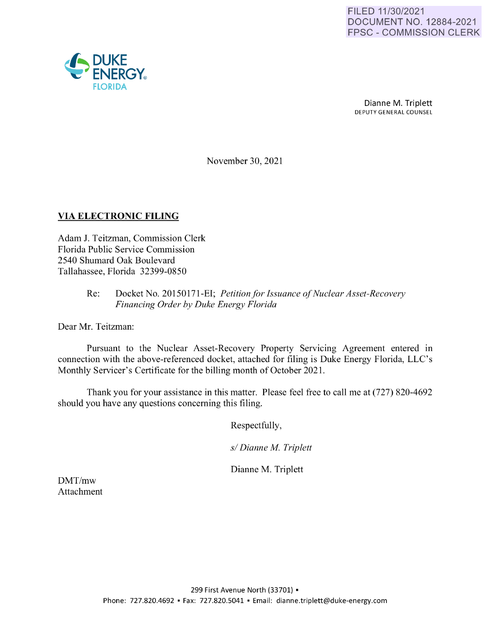

Dianne M. Triplett DEPUTY GENERAL COUNSEL

November 30, 2021

## **VIA ELECTRONIC FILING**

Adam J. Teitzman, Commission Clerk Florida Public Service Commission 2540 Shumard Oak Boulevard Tallahassee, Florida 32399-0850

## Re: Docket No. 20150171-EI; *Petition for Issuance of Nuclear Asset-Recovery Financing Order by Duke Energy Florida*

Dear Mr. Teitzman:

Pursuant to the Nuclear Asset-Recovery Property Servicing Agreement entered in connection with the above-referenced docket, attached for filing is Duke Energy Florida, LLC's Monthly Servicer's Certificate for the billing month of October 2021.

Thank you for your assistance in this matter. Please feel free to call me at (727) 820-4692 should you have any questions concerning this filing.

Respectfully,

*s/ Dianne M. Triplett* 

Dianne M. Triplett

DMT/mw Attachment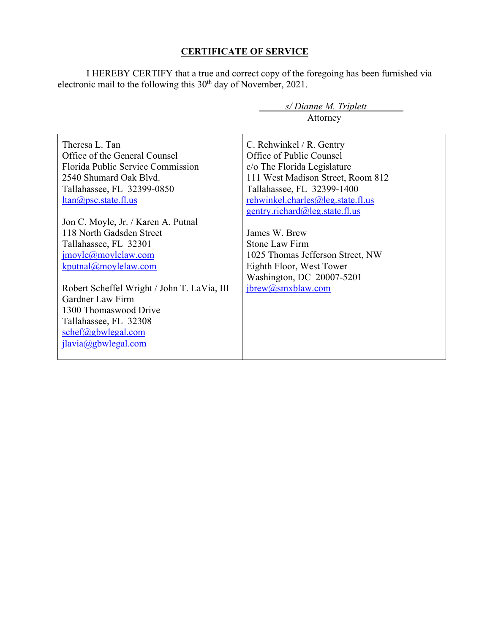## **CERTIFICATE OF SERVICE**

I HEREBY CERTIFY that a true and correct copy of the foregoing has been furnished via electronic mail to the following this  $30<sup>th</sup>$  day of November, 2021.

|                                             | s/Dianne M. Triplett              |  |  |  |
|---------------------------------------------|-----------------------------------|--|--|--|
|                                             | Attorney                          |  |  |  |
|                                             |                                   |  |  |  |
| Theresa L. Tan                              | C. Rehwinkel / R. Gentry          |  |  |  |
| Office of the General Counsel               | Office of Public Counsel          |  |  |  |
| Florida Public Service Commission           | c/o The Florida Legislature       |  |  |  |
| 2540 Shumard Oak Blvd.                      | 111 West Madison Street, Room 812 |  |  |  |
| Tallahassee, FL 32399-0850                  | Tallahassee, FL 32399-1400        |  |  |  |
| $ltan(a)$ psc.state.fl.us                   | rehwinkel.charles@leg.state.fl.us |  |  |  |
|                                             | gentry.richard@leg.state.fl.us    |  |  |  |
| Jon C. Moyle, Jr. / Karen A. Putnal         |                                   |  |  |  |
| 118 North Gadsden Street                    | James W. Brew                     |  |  |  |
| Tallahassee, FL 32301                       | Stone Law Firm                    |  |  |  |
| $\text{imoyle}(a)$ moylelaw.com             | 1025 Thomas Jefferson Street, NW  |  |  |  |
| kputnal@moylelaw.com                        | Eighth Floor, West Tower          |  |  |  |
|                                             | Washington, DC 20007-5201         |  |  |  |
| Robert Scheffel Wright / John T. LaVia, III | ibrew@smxblaw.com                 |  |  |  |
| Gardner Law Firm                            |                                   |  |  |  |
| 1300 Thomaswood Drive                       |                                   |  |  |  |
| Tallahassee, FL 32308                       |                                   |  |  |  |
| $schef(\omega)$ gbwlegal.com                |                                   |  |  |  |
| jlavia@gbwlegal.com                         |                                   |  |  |  |
|                                             |                                   |  |  |  |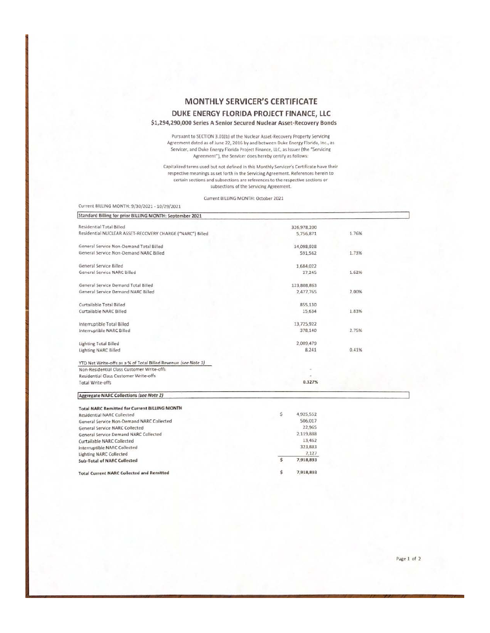## MONTHLY SERVICER'S CERTIFICATE DUKE ENERGY FLORIDA PROJECT FINANCE, LLC \$1,294,290,000 Series A Senior Secured Nuclear Asset-Recovery Bonds

Pursuant to SECTION 3.01(b) of the Nuclear Asset-Recovery Property Servicing<br>Agreement dated as of June 22, 2016 by and between Duke Energy Florida, Inc., as Servicer, and Duke Energy Florida Project Finance, LLC, as Issuer (the "Servicing Agreement"), the Servicer does hereby certify as follows:

Capitalized terms used but not defined in this Monthly Servicer's Certificate have their respective meanings as set forth in the Servicing Agreement. References herein to certain sections and subsections are references to the respective sections or subsections of the Servicing Agreement.

Current BILLING MONTH: October 2021

| Current BILLING MONTH: 9/30/2021 - 10/29/2021                  |             |       |  |  |  |
|----------------------------------------------------------------|-------------|-------|--|--|--|
| Standard Billing for prior BILLING MONTH: September 2021       |             |       |  |  |  |
| Residential Total Billed                                       | 326,978,200 |       |  |  |  |
| Residential NUCLEAR ASSET-RECOVERY CHARGE ("NARC") Billed      | 5,756,871   | 1.76% |  |  |  |
| General Service Non-Demand Total Billed                        | 34,098,928  |       |  |  |  |
| General Service Non-Demand NARC Billed                         | 591,562     | 1.73% |  |  |  |
| General Service Billed                                         | 1,684,022   |       |  |  |  |
| General Service NARC Billed                                    | 27,245      | 1.62% |  |  |  |
| General Service Demand Total Billed                            | 123,808,863 |       |  |  |  |
| General Service Demand NARC Billed                             | 2,477,765   | 2.00% |  |  |  |
| Curtailable Total Billed                                       | 855,130     |       |  |  |  |
| Curtailable NARC Billed                                        | 15,634      | 1.83% |  |  |  |
| Interruptible Total Billed                                     | 13,725,922  |       |  |  |  |
| Interruptible NARC Billed                                      | 378,140     | 2.75% |  |  |  |
| Lighting Total Billed                                          | 2.009.479   |       |  |  |  |
| <b>Lighting NARC Billed</b>                                    | 8,241       | 0.41% |  |  |  |
| YTD Net Write-offs as a % of Total Billed Revenue (see Note 1) |             |       |  |  |  |
| Non-Residential Class Customer Write-offs                      |             |       |  |  |  |
| Residential Class Customer Write-offs                          |             |       |  |  |  |
| <b>Total Write-offs</b>                                        | 0.327%      |       |  |  |  |
| Aggregate NARC Collections (see Note 2)                        |             |       |  |  |  |

| <b>Total NARC Remitted for Current BILLING MONTH</b> |  |  |
|------------------------------------------------------|--|--|
|                                                      |  |  |

| \$<br>4,925,552 |
|-----------------|
| 506,017         |
| 22,965          |
| 2,119,888       |
| 13,462          |
| 323,883         |
| 7,127           |
| 7,918,893       |
| \$<br>7,918,893 |
|                 |